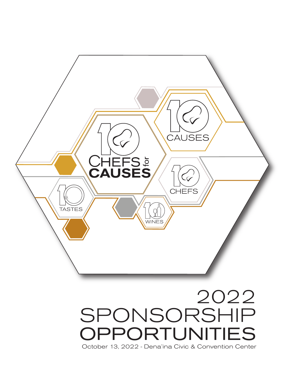

October 13, 2022 - Dena'ina Civic & Convention Center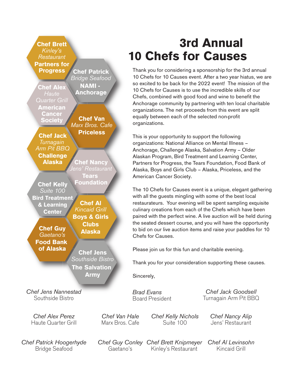**Chef Brett** *Kinley's Restaurant* **Partners for Progress Chef Patrick**

**Chef Alex** *Haute Quarter Grill* **American Cancer Society**

**Chef Jack** *Turnagain Arm Pit BBQ* **Challenge Alaska**

**Tears Foundation Chef Al Chef Kelly** *Suite 100* **Bird Treatment**

*Kincaid Grill* **Boys & Girls & Learning Center**

**Chef Guy** *Gaetano's* **Food Bank of Alaska**

**Chef Jens** *Southside Bistro* **The Salvation Army**

**Clubs Alaska**

**Chef Nancy** *Jens' Restaurant* 

**Chef Van** *Marx Bros. Cafe* **Priceless**

*Bridge Seafood* **NAMI - Anchorage**

*Chef Jens Nannestad* Southside Bistro

*Chef Alex Perez* Haute Quarter Grill

*Chef Patrick Hoogerhyde* Bridge Seafood

**3rd Annual 10 Chefs for Causes**

Thank you for considering a sponsorship for the 3rd annual 10 Chefs for 10 Causes event. After a two year hiatus, we are so excited to be back for the 2022 event! The mission of the 10 Chefs for Causes is to use the incredible skills of our Chefs, combined with good food and wine to benefit the Anchorage community by partnering with ten local charitable organizations. The net proceeds from this event are split equally between each of the selected non-profit organizations.

This is your opportunity to support the following organizations: National Alliance on Mental Illness – Anchorage, Challenge Alaska, Salvation Army – Older Alaskan Program, Bird Treatment and Learning Center, Partners for Progress, the Tears Foundation, Food Bank of Alaska, Boys and Girls Club – Alaska, Priceless, and the American Cancer Society.

The 10 Chefs for Causes event is a unique, elegant gathering with all the guests mingling with some of the best local restaurateurs. Your evening will be spent sampling exquisite culinary creations from each of the Chefs which have been paired with the perfect wine. A live auction will be held during the seated dessert course, and you will have the opportunity to bid on our live auction items and raise your paddles for 10 Chefs for Causes.

Please join us for this fun and charitable evening.

Thank you for your consideration supporting these causes.

Sincerely,

*Chef Van Hale* Marx Bros. Cafe

*Brad Evans* Board President

*Chef Jack Goodsell* Turnagain Arm Pit BBQ

*Chef Kelly Nichols* Suite 100

*Chef Nancy Alip* Jens' Restaurant

*Chef Guy Conley Chef Brett Knipmeyer* Gaetano's Kinley's Restaurant

*Chef Al Levinsohn* Kincaid Grill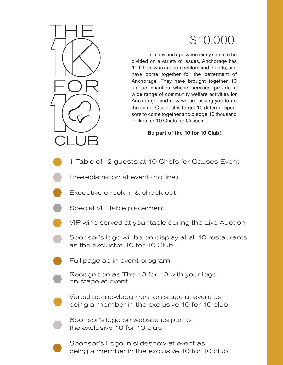# \$10,000

 In a day and age when many seem to be divided on a variety of issues, Anchorage has 10 Chefs who are competitors and friends, and have come together for the betterment of Anchorage. They have brought together 10 unique charities whose services provide a wide range of community welfare activities for Anchorage, and now we are asking you to do the same. Our goal is to get 10 different sponsors to come together and pledge 10 thousand dollars for 10 Chefs for Causes.

**Be part of the 10 for 10 Club!**

- 1 Table of 12 guests at 10 Chefs for Causes Event
	- Pre-registration at event (no line)
	- Executive check in & check out
- Special VIP table placement
- 

CLUB

- VIP wine served at your table during the Live Auction
- Sponsor's logo will be on display at all 10 restaurants as the exclusive 10 for 10 Club
- 
- Full page ad in event program



Recognition as The 10 for 10 with your logo on stage at event



Verbal acknowledgment on stage at event as being a member in the exclusive 10 for 10 club



Sponsor's logo on website as part of the exclusive 10 for 10 club



Sponsor's Logo in slideshow at event as being a member in the exclusive 10 for 10 club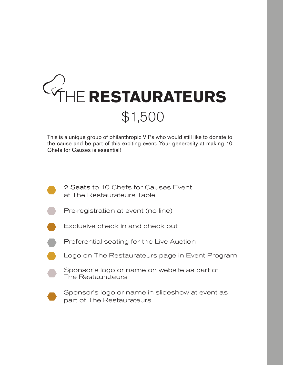# **THE RESTAURATEURS** \$1,500

This is a unique group of philanthropic VIPs who would still like to donate to the cause and be part of this exciting event. Your generosity at making 10 Chefs for Causes is essential!

- 2 Seats to 10 Chefs for Causes Event at The Restaurateurs Table
	- Pre-registration at event (no line)
- 
- Exclusive check in and check out
- 
- Preferential seating for the Live Auction
- Logo on The Restaurateurs page in Event Program

Sponsor's logo or name on website as part of The Restaurateurs



Sponsor's logo or name in slideshow at event as part of The Restaurateurs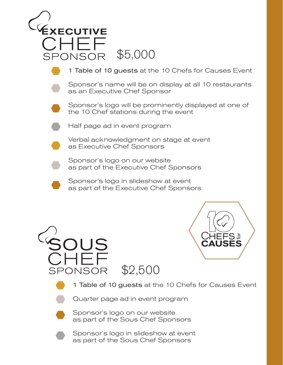





1 Table of 10 guests at the 10 Chefs for Causes Event



Quarter page ad in event program



Sponsor's logo on our website as part of the Sous Chef Sponsors



Sponsor's logo in slideshow at event as part of the Sous Chef Sponsors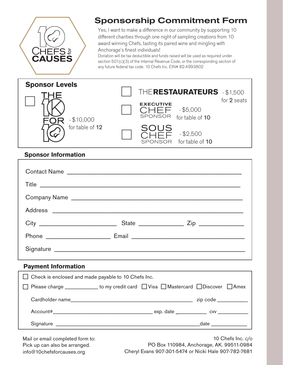

## **Sponsorship Commitment Form**

Yes, I want to make a difference in our community by supporting 10 different charities through one night of sampling creations from 10 award winning Chefs, tasting its paired wine and mingling with Anchorage's finest individuals!

Donation will be tax deductible and funds raised will be used as required under section 501(c)(3) of the Internal Revenue Code, or the corresponding section of any future federal tax code. 10 Chefs Inc. EIN# 82-4993802



#### **Sponsor Information**

| Contact Name |  |
|--------------|--|
|              |  |
| Company Name |  |
|              |  |
|              |  |
|              |  |
|              |  |

#### **Payment Information**

| $\Box$ Check is enclosed and made payable to 10 Chefs Inc.                           |  |  |                                                                                                                                                                                                                                |
|--------------------------------------------------------------------------------------|--|--|--------------------------------------------------------------------------------------------------------------------------------------------------------------------------------------------------------------------------------|
| □ Please charge ____________ to my credit card □ Visa □ Mastercard □ Discover □ Amex |  |  |                                                                                                                                                                                                                                |
|                                                                                      |  |  | zip code ____________                                                                                                                                                                                                          |
|                                                                                      |  |  |                                                                                                                                                                                                                                |
|                                                                                      |  |  | date the control of the control of the control of the control of the control of the control of the control of the control of the control of the control of the control of the control of the control of the control of the con |

Mail or email completed form to: Pick up can also be arranged.

10 Chefs Inc. *c/o* PO Box 110984, Anchorage, AK. 99511-0984 info@10chefsforcauses.org Cheryl Evans 907-301-5474 or Nicki Hale 907-782-7681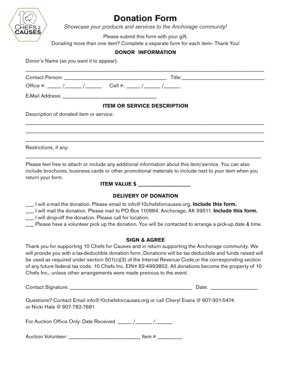

### **Donation Form**

*Showcase your products and services to the Anchorage community!* 

Please submit this form with your gift.

Donating more than one item? Complete a separate form for each item-Thank You!

#### **DONOR INFORMATION**

Donor's Name (as you want it to appear):

| Office #: ____/_____/_____/ Cell #: ____/_____/_____/                                                                                                                    |                                                                                                                                                                                                                                                                                                                                                                                                                                       |  |
|--------------------------------------------------------------------------------------------------------------------------------------------------------------------------|---------------------------------------------------------------------------------------------------------------------------------------------------------------------------------------------------------------------------------------------------------------------------------------------------------------------------------------------------------------------------------------------------------------------------------------|--|
|                                                                                                                                                                          |                                                                                                                                                                                                                                                                                                                                                                                                                                       |  |
|                                                                                                                                                                          | <b>ITEM OR SERVICE DESCRIPTION</b>                                                                                                                                                                                                                                                                                                                                                                                                    |  |
| Description of donated item or service:                                                                                                                                  |                                                                                                                                                                                                                                                                                                                                                                                                                                       |  |
|                                                                                                                                                                          |                                                                                                                                                                                                                                                                                                                                                                                                                                       |  |
|                                                                                                                                                                          |                                                                                                                                                                                                                                                                                                                                                                                                                                       |  |
| Restrictions, if any:                                                                                                                                                    |                                                                                                                                                                                                                                                                                                                                                                                                                                       |  |
| Please feel free to attach or include any additional information about this item/service. You can also<br>return your form.                                              | include brochures, business cards or other promotional materials to include next to your item when you                                                                                                                                                                                                                                                                                                                                |  |
|                                                                                                                                                                          | <b>ITEM VALUE \$</b> ____________________                                                                                                                                                                                                                                                                                                                                                                                             |  |
|                                                                                                                                                                          | <b>DELIVERY OF DONATION</b>                                                                                                                                                                                                                                                                                                                                                                                                           |  |
| $\_\_\_\$ I will e-mail the donation. Please email to info@10chefsforcauses.org. <b>Include this form.</b><br>__ I will drop-off the donation. Please call for location. | I will mail the donation. Please mail to PO Box 110984, Anchorage, AK 99511. Include this form.<br>__ Please have a volunteer pick up the donation. You will be contacted to arrange a pick-up date & time.                                                                                                                                                                                                                           |  |
|                                                                                                                                                                          | <b>SIGN &amp; AGREE</b>                                                                                                                                                                                                                                                                                                                                                                                                               |  |
| Chefs Inc., unless other arrangements were made previous to the event.                                                                                                   | Thank you for supporting 10 Chefs for Causes and in return supporting the Anchorage community. We<br>will provide you with a tax-deductible donation form. Donations will be tax deductible and funds raised will<br>be used as required under section 501(c)(3) of the Internal Revenue Code, or the corresponding section<br>of any future federal tax code. 10 Chefs Inc. EIN# 82-4993802. All donations become the property of 10 |  |
|                                                                                                                                                                          | Date: <u>__________________</u>                                                                                                                                                                                                                                                                                                                                                                                                       |  |
| Questions? Contact Email info@10chefsforcauses.org or call Cheryl Evans @ 907-301-5474<br>or Nicki Hale @ 907-782-7681                                                   |                                                                                                                                                                                                                                                                                                                                                                                                                                       |  |
|                                                                                                                                                                          |                                                                                                                                                                                                                                                                                                                                                                                                                                       |  |
| Auction Volunteer: ________________________________ Item # __________                                                                                                    |                                                                                                                                                                                                                                                                                                                                                                                                                                       |  |